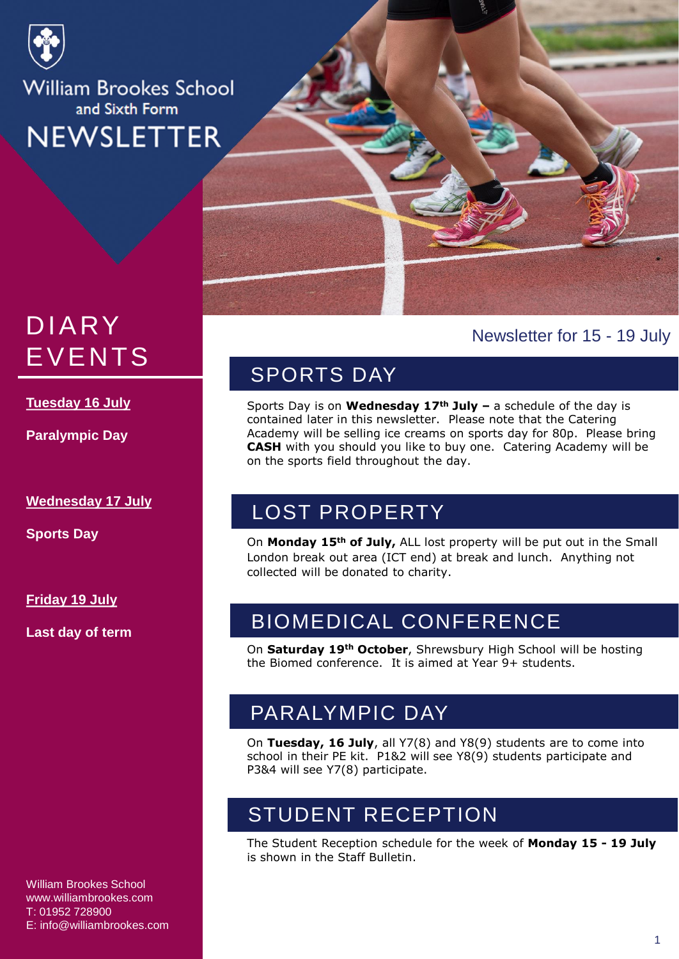

# DIARY EVENTS

**Tuesday 16 July**

**Paralympic Day**

**Wednesday 17 July**

**Sports Day**

**Friday 19 July**

**Last day of term**

# Newsletter for 15 - 19 July

# SPORTS DAY

Sports Day is on **Wednesday 17th July –** a schedule of the day is contained later in this newsletter. Please note that the Catering Academy will be selling ice creams on sports day for 80p. Please bring **CASH** with you should you like to buy one. Catering Academy will be on the sports field throughout the day.

# LOST PROPERTY

On **Monday 15th of July,** ALL lost property will be put out in the Small London break out area (ICT end) at break and lunch. Anything not collected will be donated to charity.

# BIOMEDICAL CONFERENCE

On **Saturday 19th October**, Shrewsbury High School will be hosting the Biomed conference. It is aimed at Year 9+ students.

# PARALYMPIC DAY

On **Tuesday, 16 July**, all Y7(8) and Y8(9) students are to come into school in their PE kit. P1&2 will see Y8(9) students participate and P3&4 will see Y7(8) participate.

# STUDENT RECEPTION

The Student Reception schedule for the week of **Monday 15 - 19 July**  is shown in the Staff Bulletin.

William Brookes School www.williambrookes.com T: 01952 728900 E: info@williambrookes.com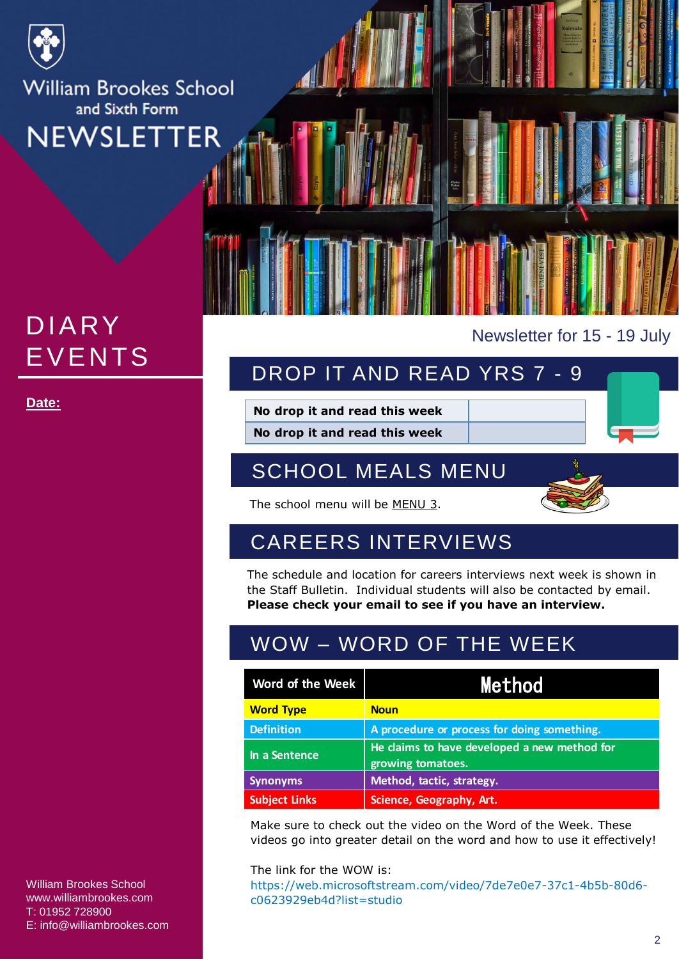

# DIARY EVENTS

William Brookes School www.williambrookes.com T: 01952 728900 E: info@williambrookes.com Newsletter for 15 - 19 July

# DROP IT AND READ YRS 7 - 9

**Date:** No drop it and read this week

**No drop it and read this week**

# SCHOOL MEALS MENU



The school menu will be MENU 3.

# CAREERS INTERVIEWS

The schedule and location for careers interviews next week is shown in the Staff Bulletin. Individual students will also be contacted by email. **Please check your email to see if you have an interview.**

# WOW – WORD OF THE WEEK

| Word of the Week     | Method                                                            |
|----------------------|-------------------------------------------------------------------|
| <b>Word Type</b>     | <b>Noun</b>                                                       |
| <b>Definition</b>    | A procedure or process for doing something.                       |
| In a Sentence        | He claims to have developed a new method for<br>growing tomatoes. |
| <b>Synonyms</b>      | Method, tactic, strategy.                                         |
| <b>Subject Links</b> | Science, Geography, Art.                                          |

Make sure to check out the video on the Word of the Week. These videos go into greater detail on the word and how to use it effectively!

The link for the WOW is: https://web.microsoftstream.com/video/7de7e0e7-37c1-4b5b-80d6 c0623929eb4d?list=studio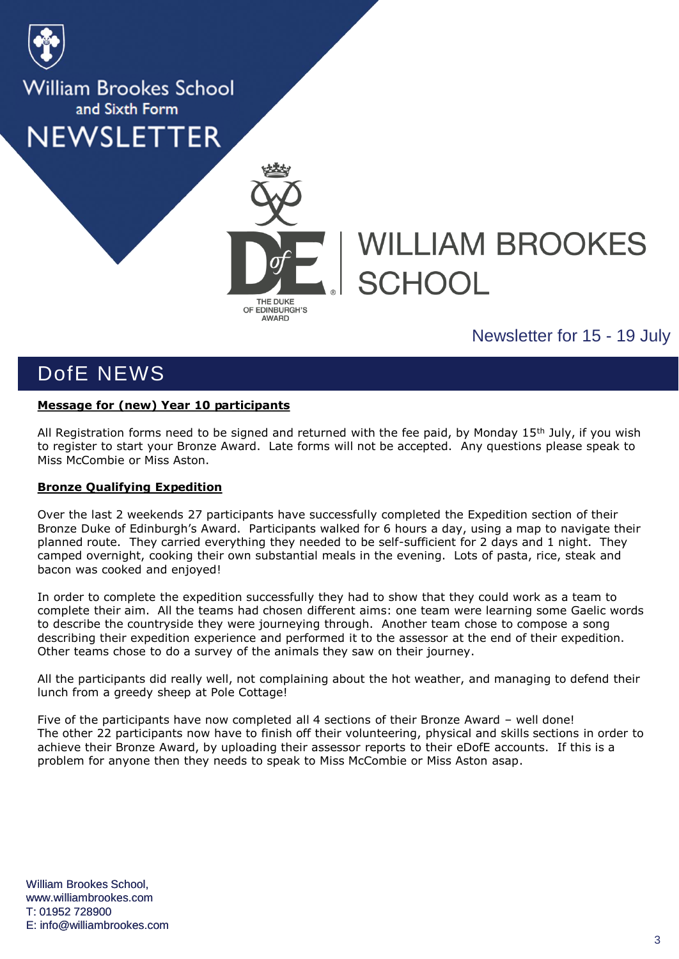



# **WILLIAM BROOKES SCHOOL**

# Newsletter for 15 - 19 July

# DofE NEWS

## **Message for (new) Year 10 participants**

All Registration forms need to be signed and returned with the fee paid, by Monday 15<sup>th</sup> July, if you wish to register to start your Bronze Award. Late forms will not be accepted. Any questions please speak to Miss McCombie or Miss Aston.

## **Bronze Qualifying Expedition**

Over the last 2 weekends 27 participants have successfully completed the Expedition section of their Bronze Duke of Edinburgh's Award. Participants walked for 6 hours a day, using a map to navigate their planned route. They carried everything they needed to be self-sufficient for 2 days and 1 night. They camped overnight, cooking their own substantial meals in the evening. Lots of pasta, rice, steak and bacon was cooked and enjoyed!

In order to complete the expedition successfully they had to show that they could work as a team to complete their aim. All the teams had chosen different aims: one team were learning some Gaelic words to describe the countryside they were journeying through. Another team chose to compose a song describing their expedition experience and performed it to the assessor at the end of their expedition. Other teams chose to do a survey of the animals they saw on their journey.

All the participants did really well, not complaining about the hot weather, and managing to defend their lunch from a greedy sheep at Pole Cottage!

Five of the participants have now completed all 4 sections of their Bronze Award – well done! The other 22 participants now have to finish off their volunteering, physical and skills sections in order to achieve their Bronze Award, by uploading their assessor reports to their eDofE accounts. If this is a problem for anyone then they needs to speak to Miss McCombie or Miss Aston asap.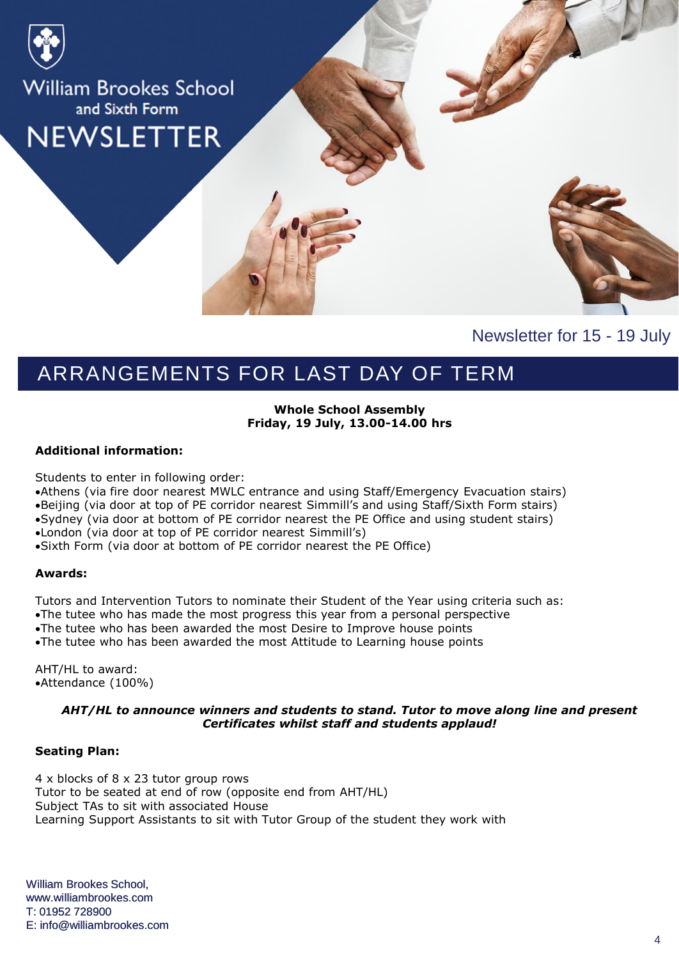

Newsletter for 15 - 19 July

# ARRANGEMENTS FOR LAST DAY OF TERM

#### **Whole School Assembly Friday, 19 July, 13.00-14.00 hrs**

#### **Additional information:**

Students to enter in following order:

- Athens (via fire door nearest MWLC entrance and using Staff/Emergency Evacuation stairs)
- Beijing (via door at top of PE corridor nearest Simmill's and using Staff/Sixth Form stairs)
- Sydney (via door at bottom of PE corridor nearest the PE Office and using student stairs)
- London (via door at top of PE corridor nearest Simmill's)
- Sixth Form (via door at bottom of PE corridor nearest the PE Office)

#### **Awards:**

Tutors and Intervention Tutors to nominate their Student of the Year using criteria such as:

- The tutee who has made the most progress this year from a personal perspective The tutee who has been awarded the most Desire to Improve house points
- The tutee who has been awarded the most Attitude to Learning house points

AHT/HL to award: Attendance (100%)

#### *AHT/HL to announce winners and students to stand. Tutor to move along line and present Certificates whilst staff and students applaud!*

### **Seating Plan:**

4 x blocks of 8 x 23 tutor group rows Tutor to be seated at end of row (opposite end from AHT/HL) Subject TAs to sit with associated House Learning Support Assistants to sit with Tutor Group of the student they work with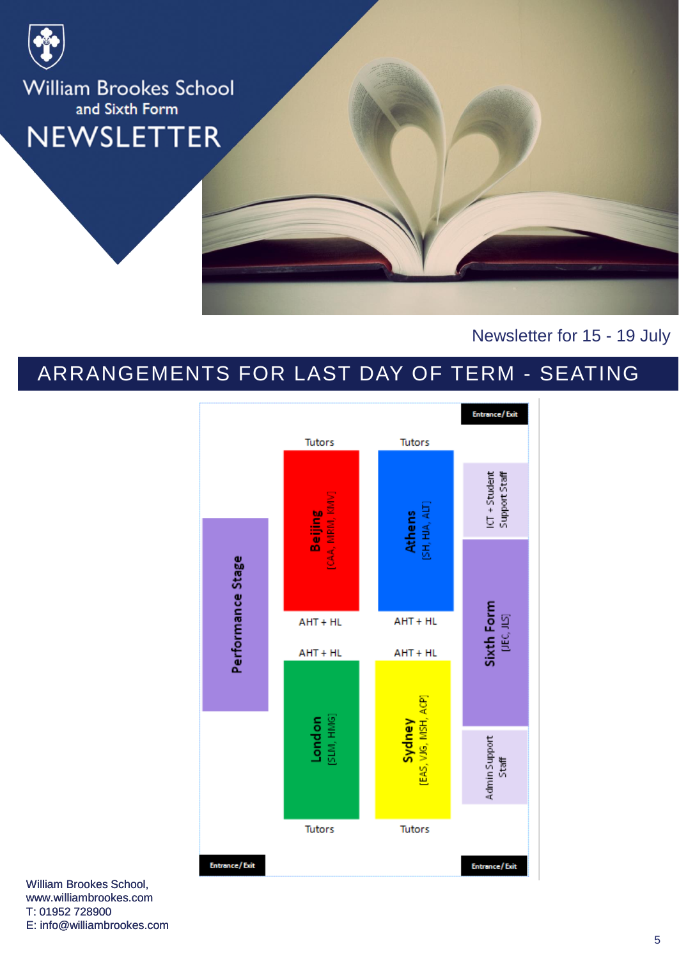

Newsletter for 15 - 19 July

# ARRANGEMENTS FOR LAST DAY OF TERM - SEATING



William Brookes School, www.williambrookes.com T: 01952 728900 E: info@williambrookes.com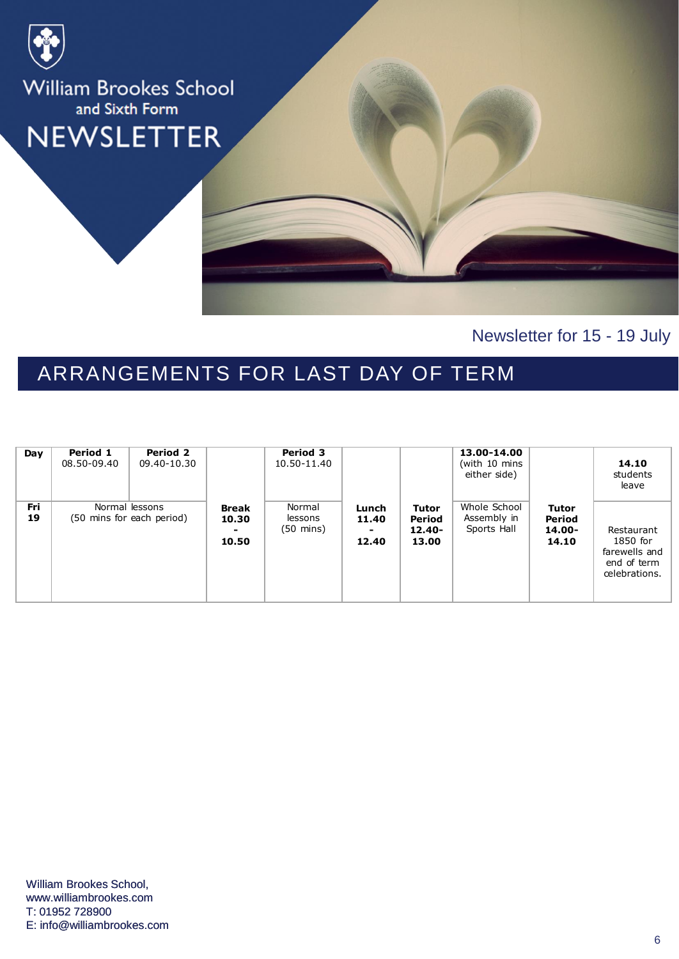

Newsletter for 15 - 19 July

# ARRANGEMENTS FOR LAST DAY OF TERM

| Day              | Period 1<br>08.50-09.40 | Period 2<br>09.40-10.30                     |                                | Period 3<br>10.50-11.40                  |                              |                                       | 13.00-14.00<br>(with 10 mins<br>either side) |                                           | 14.10<br>students<br>leave                                              |
|------------------|-------------------------|---------------------------------------------|--------------------------------|------------------------------------------|------------------------------|---------------------------------------|----------------------------------------------|-------------------------------------------|-------------------------------------------------------------------------|
| <b>Fri</b><br>19 |                         | Normal lessons<br>(50 mins for each period) | <b>Break</b><br>10.30<br>10.50 | Normal<br>lessons<br>$(50 \text{ mins})$ | Lunch<br>11.40<br>۰<br>12.40 | Tutor<br>Period<br>$12.40 -$<br>13.00 | Whole School<br>Assembly in<br>Sports Hall   | <b>Tutor</b><br>Period<br>14.00-<br>14.10 | Restaurant<br>1850 for<br>farewells and<br>end of term<br>celebrations. |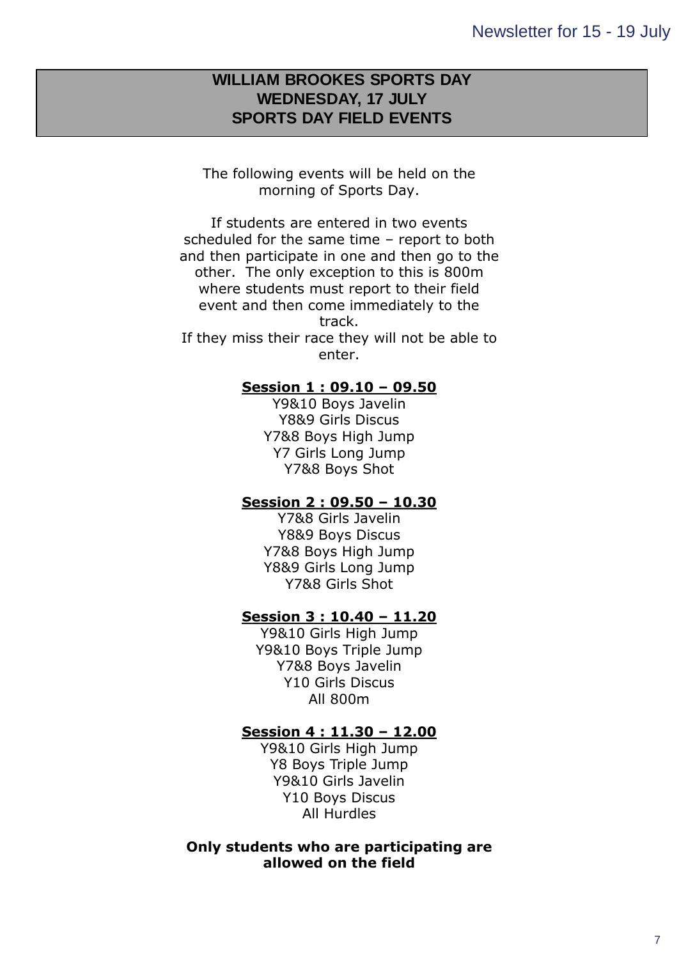## Right click and select Change Picture… to **SPORTS DAY FIELD EVENTS WILLIAM BROOKES SPORTS DAY WEDNESDAY, 17 JULY**

The following events will be held on the morning of Sports Day.

add any posters sent in for the newsletters sent in for the newsletters sent in for the newsletters in form

If students are entered in two events scheduled for the same time – report to both and then participate in one and then go to the other. The only exception to this is 800m where students must report to their field event and then come immediately to the track. If they miss their race they will not be able to enter.

## **Session 1 : 09.10 – 09.50**

Y9&10 Boys Javelin Y8&9 Girls Discus Y7&8 Boys High Jump Y7 Girls Long Jump Y7&8 Boys Shot

## **Session 2 : 09.50 – 10.30**

Y7&8 Girls Javelin Y8&9 Boys Discus Y7&8 Boys High Jump Y8&9 Girls Long Jump Y7&8 Girls Shot

## **Session 3 : 10.40 – 11.20**

Y9&10 Girls High Jump Y9&10 Boys Triple Jump Y7&8 Boys Javelin Y10 Girls Discus All 800m

## **Session 4 : 11.30 – 12.00**

Y9&10 Girls High Jump Y8 Boys Triple Jump Y9&10 Girls Javelin Y10 Boys Discus All Hurdles

## **Only students who are participating are allowed on the field**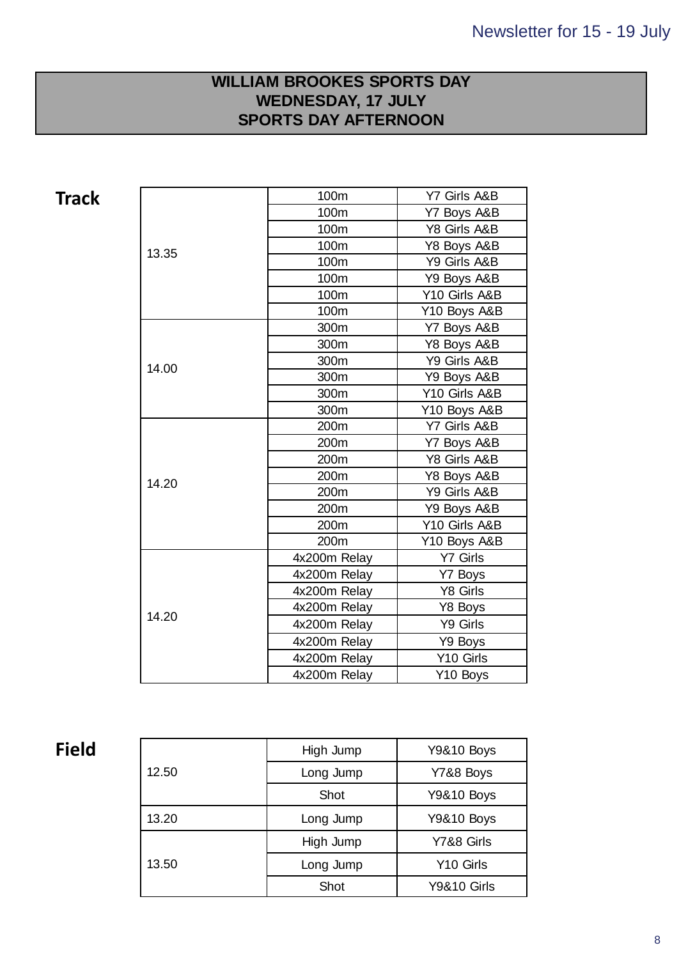# **Right click and select SPORTS DAY AFTERNOON**  $\blacksquare$ **WILLIAM BROOKES SPORTS DAY WEDNESDAY, 17 JULY**

**Track**

| 13.35 | 100m         | Y7 Girls A&B  |  |  |
|-------|--------------|---------------|--|--|
|       | 100m         | Y7 Boys A&B   |  |  |
|       | 100m         | Y8 Girls A&B  |  |  |
|       | 100m         | Y8 Boys A&B   |  |  |
|       | 100m         | Y9 Girls A&B  |  |  |
|       | 100m         | Y9 Boys A&B   |  |  |
|       | 100m         | Y10 Girls A&B |  |  |
|       | 100m         | Y10 Boys A&B  |  |  |
|       | 300m         | Y7 Boys A&B   |  |  |
|       | 300m         | Y8 Boys A&B   |  |  |
| 14.00 | 300m         | Y9 Girls A&B  |  |  |
|       | 300m         | Y9 Boys A&B   |  |  |
|       | 300m         | Y10 Girls A&B |  |  |
|       | 300m         | Y10 Boys A&B  |  |  |
|       | 200m         | Y7 Girls A&B  |  |  |
|       | 200m         | Y7 Boys A&B   |  |  |
|       | 200m         | Y8 Girls A&B  |  |  |
| 14.20 | 200m         | Y8 Boys A&B   |  |  |
|       | 200m         | Y9 Girls A&B  |  |  |
|       | 200m         | Y9 Boys A&B   |  |  |
|       | 200m         | Y10 Girls A&B |  |  |
|       | 200m         | Y10 Boys A&B  |  |  |
|       | 4x200m Relay | Y7 Girls      |  |  |
|       | 4x200m Relay | Y7 Boys       |  |  |
|       | 4x200m Relay | Y8 Girls      |  |  |
| 14.20 | 4x200m Relay | Y8 Boys       |  |  |
|       | 4x200m Relay | Y9 Girls      |  |  |
|       | 4x200m Relay | Y9 Boys       |  |  |
|       | 4x200m Relay | Y10 Girls     |  |  |
|       | 4x200m Relay | Y10 Boys      |  |  |
|       |              |               |  |  |

# **Field**

| 12.50 | High Jump | <b>Y9&amp;10 Boys</b>  |  |  |
|-------|-----------|------------------------|--|--|
|       | Long Jump | Y7&8 Boys              |  |  |
|       | Shot      | <b>Y9&amp;10 Boys</b>  |  |  |
| 13.20 | Long Jump | <b>Y9&amp;10 Boys</b>  |  |  |
| 13.50 | High Jump | Y7&8 Girls             |  |  |
|       | Long Jump | Y <sub>10</sub> Girls  |  |  |
|       | Shot      | <b>Y9&amp;10 Girls</b> |  |  |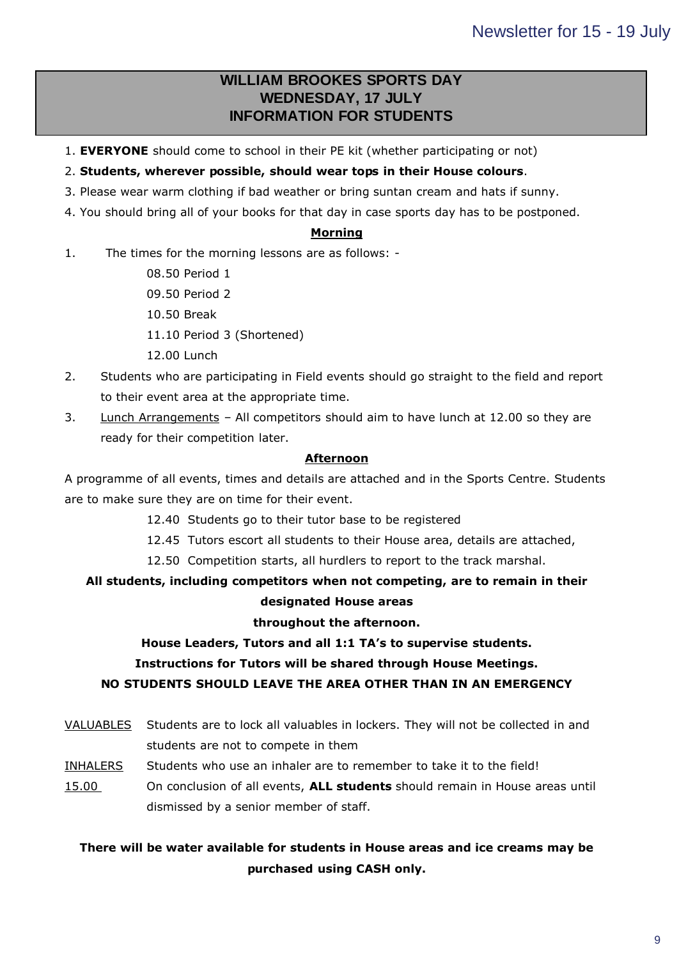## **Right click and select in EQRIGHT click and select**  $\mathbf{C}$  **in EQRIGHT construction**  $\mathbf{C}$  **is a select of**  $\mathbf{C}$ **WILLIAM BROOKES SPORTS DAY WEDNESDAY, 17 JULY**

- 1. **EVERYONE** should come to school in their PE kit (whether participating or not)
- 2. **Students, wherever possible, should wear tops in their House colours**.
- 3. Please wear warm clothing if bad weather or bring suntan cream and hats if sunny.
- 4. You should bring all of your books for that day in case sports day has to be postponed.

## **Morning**

- 1. The times for the morning lessons are as follows:
	- 08.50 Period 1
	- 09.50 Period 2
	- 10.50 Break
	- 11.10 Period 3 (Shortened)
	- 12.00 Lunch
- 2. Students who are participating in Field events should go straight to the field and report to their event area at the appropriate time.
- 3. Lunch Arrangements All competitors should aim to have lunch at 12.00 so they are ready for their competition later.

### **Afternoon**

A programme of all events, times and details are attached and in the Sports Centre. Students are to make sure they are on time for their event.

- 12.40 Students go to their tutor base to be registered
- 12.45 Tutors escort all students to their House area, details are attached,
- 12.50 Competition starts, all hurdlers to report to the track marshal.

# **All students, including competitors when not competing, are to remain in their**

## **designated House areas**

### **throughout the afternoon.**

## **House Leaders, Tutors and all 1:1 TA's to supervise students.**

### **Instructions for Tutors will be shared through House Meetings.**

### **NO STUDENTS SHOULD LEAVE THE AREA OTHER THAN IN AN EMERGENCY**

- VALUABLES Students are to lock all valuables in lockers. They will not be collected in and students are not to compete in them
- INHALERS Students who use an inhaler are to remember to take it to the field!
- 15.00 On conclusion of all events, **ALL students** should remain in House areas until dismissed by a senior member of staff.

## **There will be water available for students in House areas and ice creams may be purchased using CASH only.**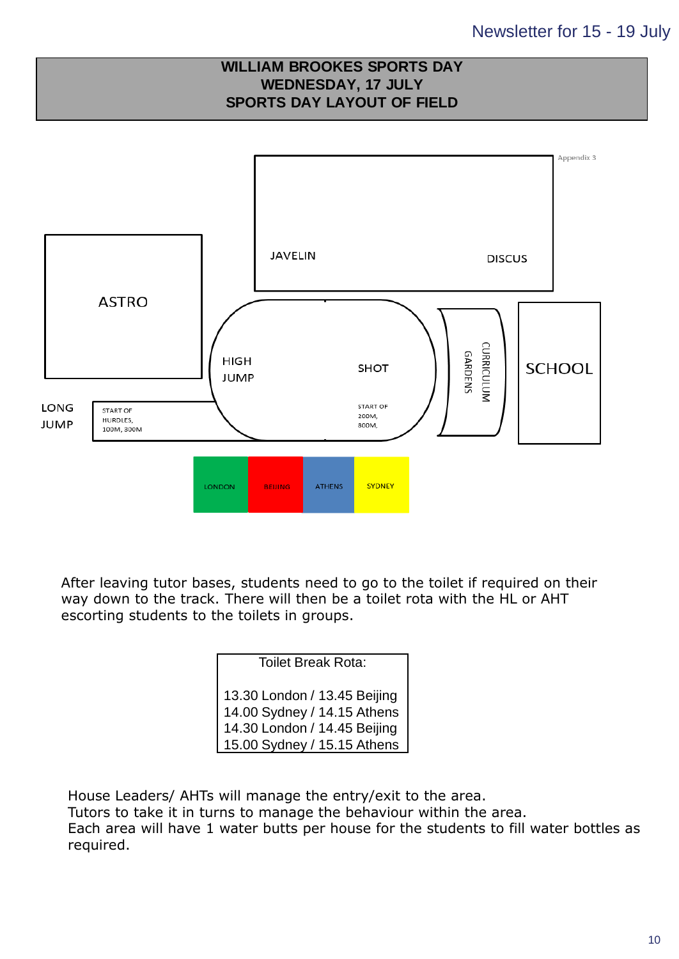

After leaving tutor bases, students need to go to the toilet if required on their way down to the track. There will then be a toilet rota with the HL or AHT escorting students to the toilets in groups.

## Toilet Break Rota:

13.30 London / 13.45 Beijing 14.00 Sydney / 14.15 Athens 14.30 London / 14.45 Beijing 15.00 Sydney / 15.15 Athens

House Leaders/ AHTs will manage the entry/exit to the area. Tutors to take it in turns to manage the behaviour within the area. Each area will have 1 water butts per house for the students to fill water bottles as required.